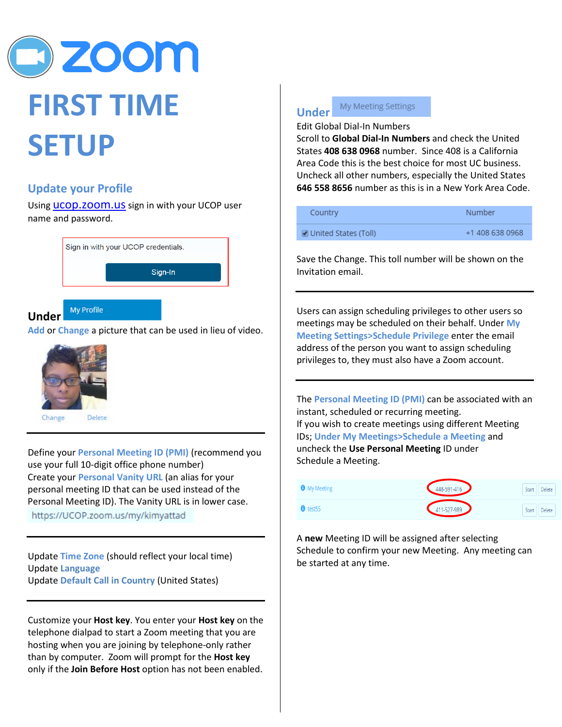

## **Update your Profile**

Using **UCOD.ZOOM.US** sign in with your UCOP user name and password.

| Sign in with your UCOP credentials. |
|-------------------------------------|
| Sign-In                             |
|                                     |

#### My Profile **Under**

**Add** or **Change** a picture that can be used in lieu of video.



Define your **Personal Meeting ID (PMI)** (recommend you use your full 10-digit office phone number) Create your **Personal Vanity URL** (an alias for your personal meeting ID that can be used instead of the Personal Meeting ID). The Vanity URL is in lower case.

https://UCOP.zoom.us/my/kimyattad

Update **Time Zone** (should reflect your local time) Update **Language** Update **Default Call in Country** (United States)

Customize your **Host key**. You enter your **Host key** on the telephone dialpad to start a Zoom meeting that you are hosting when you are joining by telephone-only rather than by computer. Zoom will prompt for the **Host key** only if the **Join Before Host** option has not been enabled.

#### My Meeting Settings **Under**

Edit Global Dial-In Numbers

Scroll to **Global Dial-In Numbers** and check the United States **408 638 0968** number. Since 408 is a California Area Code this is the best choice for most UC business. Uncheck all other numbers, especially the United States **646 558 8656** number as this is in a New York Area Code.

| Country              | Number          |
|----------------------|-----------------|
| United States (Toll) | +1 408 638 0968 |

Save the Change. This toll number will be shown on the Invitation email.

Users can assign scheduling privileges to other users so meetings may be scheduled on their behalf. Under **My Meeting Settings>Schedule Privilege** enter the email address of the person you want to assign scheduling privileges to, they must also have a Zoom account.

The **Personal Meeting ID (PMI)** can be associated with an instant, scheduled or recurring meeting. If you wish to create meetings using different Meeting IDs; **Under My Meetings>Schedule a Meeting** and uncheck the **Use Personal Meeting** ID under Schedule a Meeting.

| <b>O</b> My Meeting | 448-591-416 | Delete<br>Start |
|---------------------|-------------|-----------------|
| $\theta$ test55     | 411-527-989 | Delete<br>Start |

A **new** Meeting ID will be assigned after selecting Schedule to confirm your new Meeting. Any meeting can be started at any time.